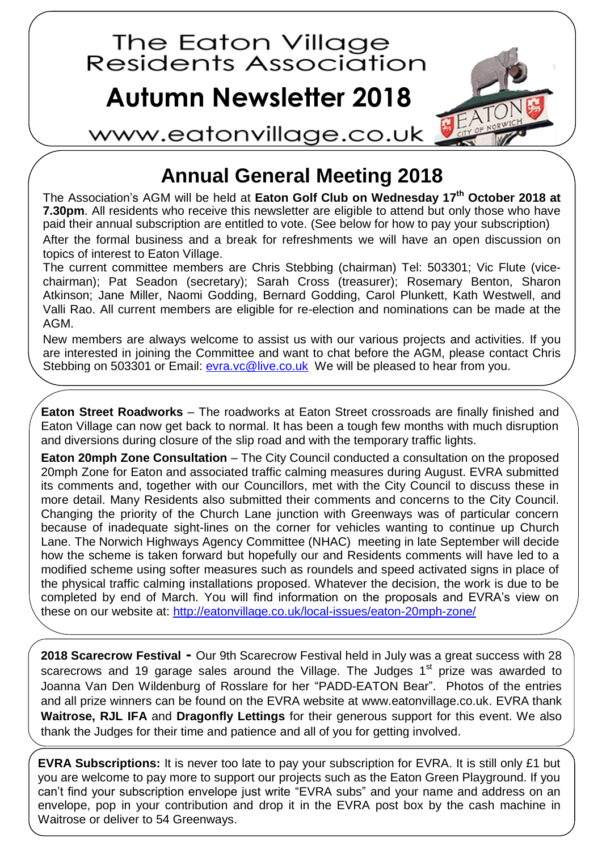

## **Annual General Meeting 2018**

The Association's AGM will be held at **Eaton Golf Club on Wednesday 17 th October 2018 at 7.30pm**. All residents who receive this newsletter are eligible to attend but only those who have paid their annual subscription are entitled to vote. (See below for how to pay your subscription)

After the formal business and a break for refreshments we will have an open discussion on topics of interest to Eaton Village.

The current committee members are Chris Stebbing (chairman) Tel: 503301; Vic Flute (vicechairman); Pat Seadon (secretary); Sarah Cross (treasurer); Rosemary Benton, Sharon Atkinson; Jane Miller, Naomi Godding, Bernard Godding, Carol Plunkett, Kath Westwell, and Valli Rao. All current members are eligible for re-election and nominations can be made at the AGM.

New members are always welcome to assist us with our various projects and activities. If you are interested in joining the Committee and want to chat before the AGM, please contact Chris Stebbing on 503301 or Email:<evra.vc@live.co.uk>We will be pleased to hear from you.

**Eaton Street Roadworks** – The roadworks at Eaton Street crossroads are finally finished and Eaton Village can now get back to normal. It has been a tough few months with much disruption and diversions during closure of the slip road and with the temporary traffic lights.

**Eaton 20mph Zone Consultation** – The City Council conducted a consultation on the proposed 20mph Zone for Eaton and associated traffic calming measures during August. EVRA submitted its comments and, together with our Councillors, met with the City Council to discuss these in more detail. Many Residents also submitted their comments and concerns to the City Council. Changing the priority of the Church Lane junction with Greenways was of particular concern because of inadequate sight-lines on the corner for vehicles wanting to continue up Church Lane. The Norwich Highways Agency Committee (NHAC) meeting in late September will decide how the scheme is taken forward but hopefully our and Residents comments will have led to a modified scheme using softer measures such as roundels and speed activated signs in place of the physical traffic calming installations proposed. Whatever the decision, the work is due to be completed by end of March. You will find information on the proposals and EVRA's view on these on our website at:<http://eatonvillage.co.uk/local-issues/eaton-20mph-zone/>

**2018 Scarecrow Festival -** Our 9th Scarecrow Festival held in July was a great success with 28 scarecrows and 19 garage sales around the Village. The Judges  $1<sup>st</sup>$  prize was awarded to Joanna Van Den Wildenburg of Rosslare for her "PADD-EATON Bear". Photos of the entries and all prize winners can be found on the EVRA website at [www.eatonvillage.co.uk.](http://www.eatonvillage.co.uk/) EVRA thank **Waitrose, RJL IFA** and **Dragonfly Lettings** for their generous support for this event. We also thank the Judges for their time and patience and all of you for getting involved.

**EVRA Subscriptions:** It is never too late to pay your subscription for EVRA. It is still only £1 but you are welcome to pay more to support our projects such as the Eaton Green Playground. If you can't find your subscription envelope just write "EVRA subs" and your name and address on an envelope, pop in your contribution and drop it in the EVRA post box by the cash machine in Waitrose or deliver to 54 Greenways.